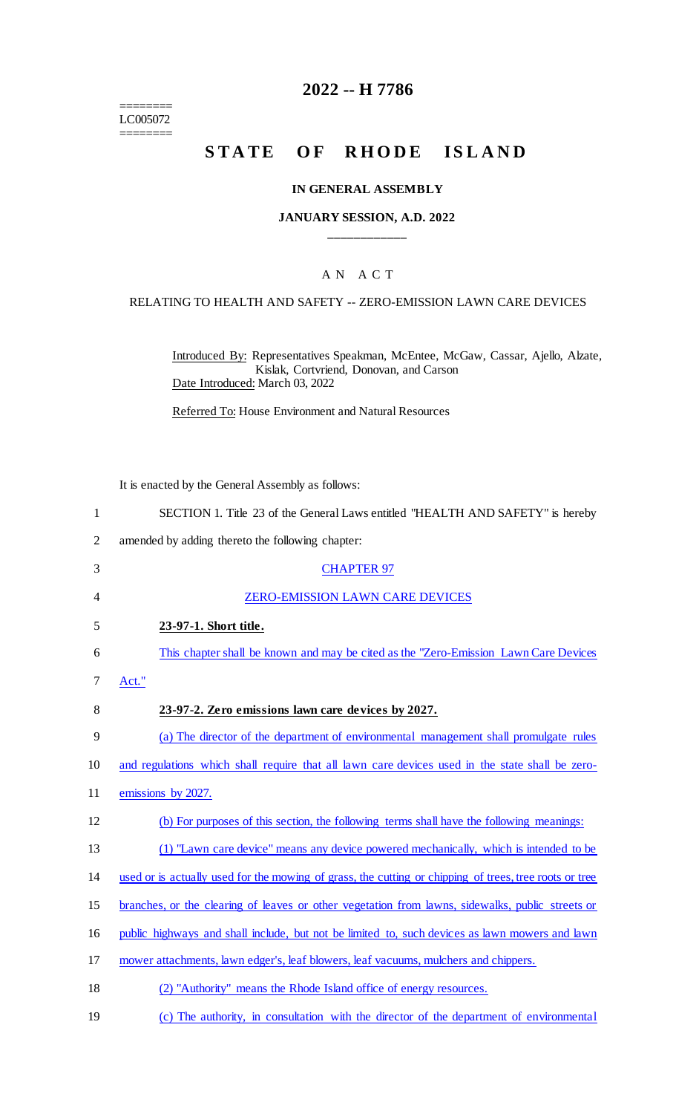======== LC005072 ========

## **2022 -- H 7786**

# **STATE OF RHODE ISLAND**

#### **IN GENERAL ASSEMBLY**

#### **JANUARY SESSION, A.D. 2022 \_\_\_\_\_\_\_\_\_\_\_\_**

### A N A C T

#### RELATING TO HEALTH AND SAFETY -- ZERO-EMISSION LAWN CARE DEVICES

Introduced By: Representatives Speakman, McEntee, McGaw, Cassar, Ajello, Alzate, Kislak, Cortvriend, Donovan, and Carson Date Introduced: March 03, 2022

Referred To: House Environment and Natural Resources

It is enacted by the General Assembly as follows:

| $\mathbf{1}$   | SECTION 1. Title 23 of the General Laws entitled "HEALTH AND SAFETY" is hereby                         |
|----------------|--------------------------------------------------------------------------------------------------------|
| $\overline{2}$ | amended by adding thereto the following chapter:                                                       |
| 3              | <b>CHAPTER 97</b>                                                                                      |
| 4              | <b>ZERO-EMISSION LAWN CARE DEVICES</b>                                                                 |
| 5              | 23-97-1. Short title.                                                                                  |
| 6              | This chapter shall be known and may be cited as the "Zero-Emission Lawn Care Devices"                  |
| 7              | Act."                                                                                                  |
| 8              | 23-97-2. Zero emissions lawn care devices by 2027.                                                     |
| 9              | (a) The director of the department of environmental management shall promulgate rules                  |
| 10             | and regulations which shall require that all lawn care devices used in the state shall be zero-        |
| 11             | emissions by 2027.                                                                                     |
| 12             | (b) For purposes of this section, the following terms shall have the following meanings:               |
| 13             | (1) "Lawn care device" means any device powered mechanically, which is intended to be                  |
| 14             | used or is actually used for the mowing of grass, the cutting or chipping of trees, tree roots or tree |
| 15             | branches, or the clearing of leaves or other vegetation from lawns, sidewalks, public streets or       |
| 16             | public highways and shall include, but not be limited to, such devices as lawn mowers and lawn         |
| 17             | mower attachments, lawn edger's, leaf blowers, leaf vacuums, mulchers and chippers.                    |
| 18             | (2) "Authority" means the Rhode Island office of energy resources.                                     |
| 19             | (c) The authority, in consultation with the director of the department of environmental                |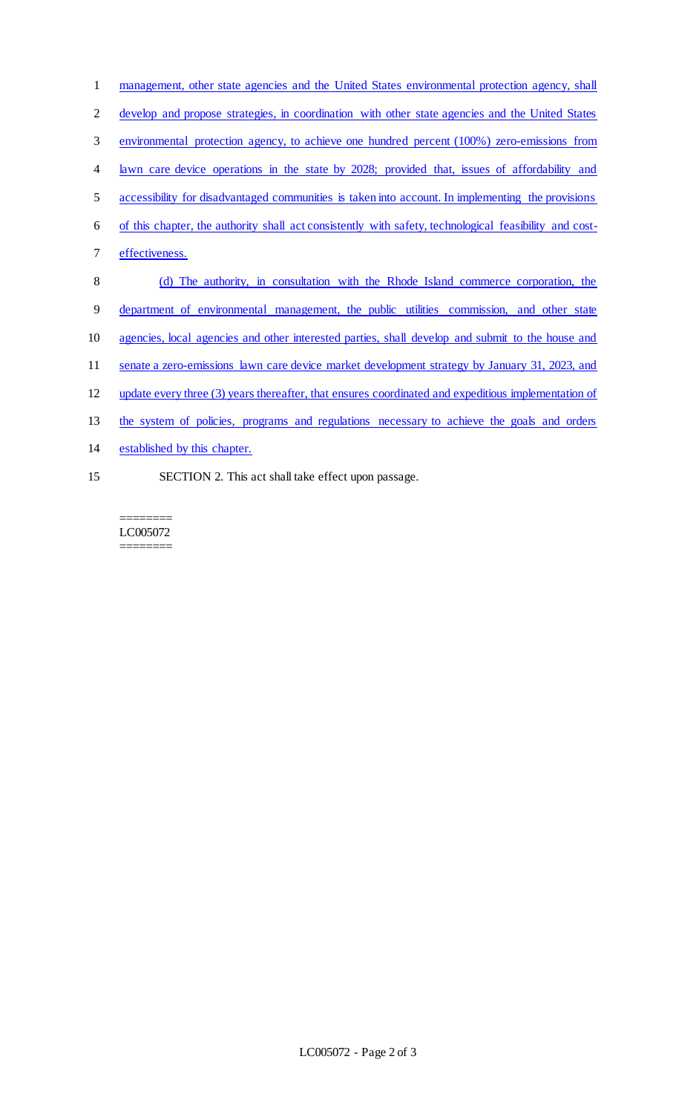| $\mathbf{1}$   | management, other state agencies and the United States environmental protection agency, shall          |
|----------------|--------------------------------------------------------------------------------------------------------|
| $\overline{2}$ | develop and propose strategies, in coordination with other state agencies and the United States        |
| 3              | environmental protection agency, to achieve one hundred percent (100%) zero-emissions from             |
| $\overline{4}$ | lawn care device operations in the state by 2028; provided that, issues of affordability and           |
| 5              | accessibility for disadvantaged communities is taken into account. In implementing the provisions      |
| 6              | of this chapter, the authority shall act consistently with safety, technological feasibility and cost- |
| $\tau$         | effectiveness.                                                                                         |
| 8              | (d) The authority, in consultation with the Rhode Island commerce corporation, the                     |
| 9              | department of environmental management, the public utilities commission, and other state               |
| 10             | agencies, local agencies and other interested parties, shall develop and submit to the house and       |
| 11             | senate a zero-emissions lawn care device market development strategy by January 31, 2023, and          |
| 12             | update every three (3) years thereafter, that ensures coordinated and expeditious implementation of    |
| 13             | the system of policies, programs and regulations necessary to achieve the goals and orders             |
| 14             | established by this chapter.                                                                           |
| 15             | SECTION 2. This act shall take effect upon passage.                                                    |

 $=$ LC005072 ========